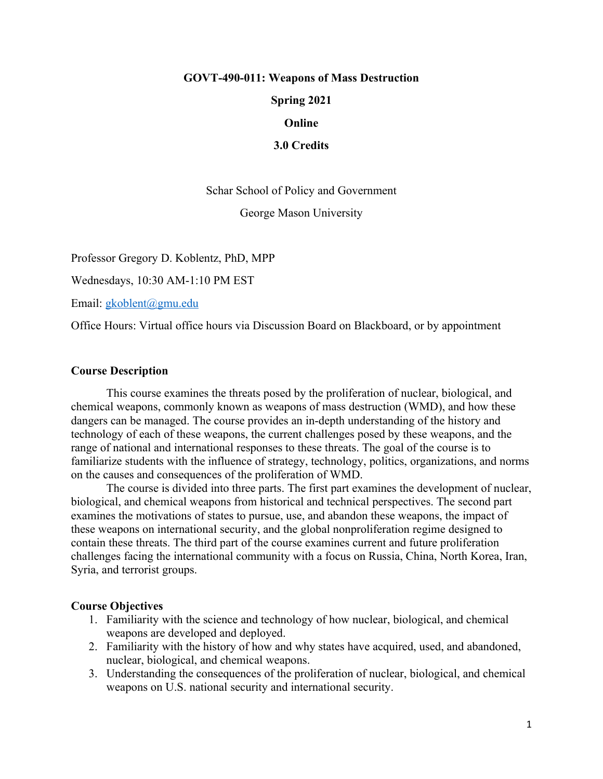## **GOVT-490-011: Weapons of Mass Destruction**

**Spring 2021**

#### **Online**

**3.0 Credits**

Schar School of Policy and Government

George Mason University

Professor Gregory D. Koblentz, PhD, MPP

Wednesdays, 10:30 AM-1:10 PM EST

Email: [gkoblent@gmu.edu](mailto:gkoblent@gmu.edu)

Office Hours: Virtual office hours via Discussion Board on Blackboard, or by appointment

## **Course Description**

This course examines the threats posed by the proliferation of nuclear, biological, and chemical weapons, commonly known as weapons of mass destruction (WMD), and how these dangers can be managed. The course provides an in-depth understanding of the history and technology of each of these weapons, the current challenges posed by these weapons, and the range of national and international responses to these threats. The goal of the course is to familiarize students with the influence of strategy, technology, politics, organizations, and norms on the causes and consequences of the proliferation of WMD.

The course is divided into three parts. The first part examines the development of nuclear, biological, and chemical weapons from historical and technical perspectives. The second part examines the motivations of states to pursue, use, and abandon these weapons, the impact of these weapons on international security, and the global nonproliferation regime designed to contain these threats. The third part of the course examines current and future proliferation challenges facing the international community with a focus on Russia, China, North Korea, Iran, Syria, and terrorist groups.

# **Course Objectives**

- 1. Familiarity with the science and technology of how nuclear, biological, and chemical weapons are developed and deployed.
- 2. Familiarity with the history of how and why states have acquired, used, and abandoned, nuclear, biological, and chemical weapons.
- 3. Understanding the consequences of the proliferation of nuclear, biological, and chemical weapons on U.S. national security and international security.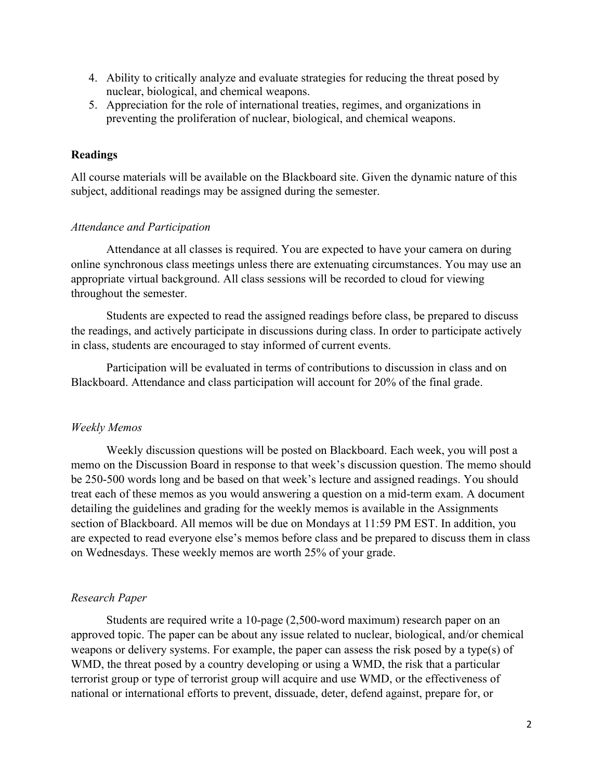- 4. Ability to critically analyze and evaluate strategies for reducing the threat posed by nuclear, biological, and chemical weapons.
- 5. Appreciation for the role of international treaties, regimes, and organizations in preventing the proliferation of nuclear, biological, and chemical weapons.

# **Readings**

All course materials will be available on the Blackboard site. Given the dynamic nature of this subject, additional readings may be assigned during the semester.

## *Attendance and Participation*

Attendance at all classes is required. You are expected to have your camera on during online synchronous class meetings unless there are extenuating circumstances. You may use an appropriate virtual background. All class sessions will be recorded to cloud for viewing throughout the semester.

Students are expected to read the assigned readings before class, be prepared to discuss the readings, and actively participate in discussions during class. In order to participate actively in class, students are encouraged to stay informed of current events.

Participation will be evaluated in terms of contributions to discussion in class and on Blackboard. Attendance and class participation will account for 20% of the final grade.

## *Weekly Memos*

Weekly discussion questions will be posted on Blackboard. Each week, you will post a memo on the Discussion Board in response to that week's discussion question. The memo should be 250-500 words long and be based on that week's lecture and assigned readings. You should treat each of these memos as you would answering a question on a mid-term exam. A document detailing the guidelines and grading for the weekly memos is available in the Assignments section of Blackboard. All memos will be due on Mondays at 11:59 PM EST. In addition, you are expected to read everyone else's memos before class and be prepared to discuss them in class on Wednesdays. These weekly memos are worth 25% of your grade.

## *Research Paper*

Students are required write a 10-page (2,500-word maximum) research paper on an approved topic. The paper can be about any issue related to nuclear, biological, and/or chemical weapons or delivery systems. For example, the paper can assess the risk posed by a type(s) of WMD, the threat posed by a country developing or using a WMD, the risk that a particular terrorist group or type of terrorist group will acquire and use WMD, or the effectiveness of national or international efforts to prevent, dissuade, deter, defend against, prepare for, or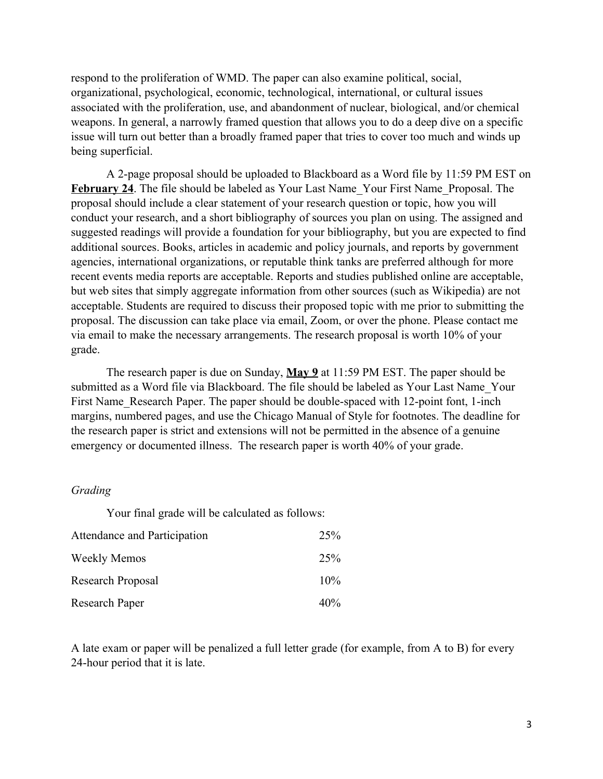respond to the proliferation of WMD. The paper can also examine political, social, organizational, psychological, economic, technological, international, or cultural issues associated with the proliferation, use, and abandonment of nuclear, biological, and/or chemical weapons. In general, a narrowly framed question that allows you to do a deep dive on a specific issue will turn out better than a broadly framed paper that tries to cover too much and winds up being superficial.

A 2-page proposal should be uploaded to Blackboard as a Word file by 11:59 PM EST on **February 24**. The file should be labeled as Your Last Name\_Your First Name\_Proposal. The proposal should include a clear statement of your research question or topic, how you will conduct your research, and a short bibliography of sources you plan on using. The assigned and suggested readings will provide a foundation for your bibliography, but you are expected to find additional sources. Books, articles in academic and policy journals, and reports by government agencies, international organizations, or reputable think tanks are preferred although for more recent events media reports are acceptable. Reports and studies published online are acceptable, but web sites that simply aggregate information from other sources (such as Wikipedia) are not acceptable. Students are required to discuss their proposed topic with me prior to submitting the proposal. The discussion can take place via email, Zoom, or over the phone. Please contact me via email to make the necessary arrangements. The research proposal is worth 10% of your grade.

The research paper is due on Sunday, **May 9** at 11:59 PM EST. The paper should be submitted as a Word file via Blackboard. The file should be labeled as Your Last Name\_Your First Name Research Paper. The paper should be double-spaced with 12-point font, 1-inch margins, numbered pages, and use the Chicago Manual of Style for footnotes. The deadline for the research paper is strict and extensions will not be permitted in the absence of a genuine emergency or documented illness. The research paper is worth 40% of your grade.

#### *Grading*

Your final grade will be calculated as follows:

| Attendance and Participation | 25%    |
|------------------------------|--------|
| <b>Weekly Memos</b>          | 25%    |
| Research Proposal            | $10\%$ |
| Research Paper               | $40\%$ |

A late exam or paper will be penalized a full letter grade (for example, from A to B) for every 24-hour period that it is late.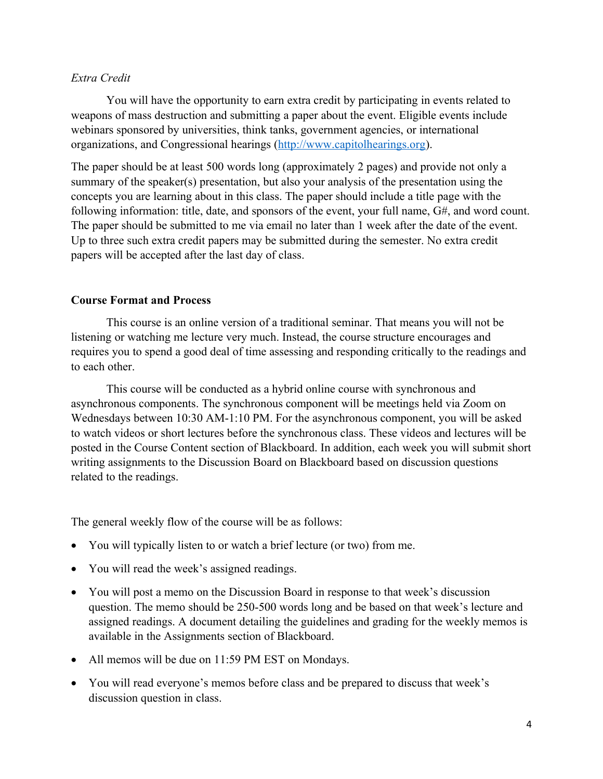# *Extra Credit*

You will have the opportunity to earn extra credit by participating in events related to weapons of mass destruction and submitting a paper about the event. Eligible events include webinars sponsored by universities, think tanks, government agencies, or international organizations, and Congressional hearings [\(http://www.capitolhearings.org](http://www.capitolhearings.org/)).

The paper should be at least 500 words long (approximately 2 pages) and provide not only a summary of the speaker(s) presentation, but also your analysis of the presentation using the concepts you are learning about in this class. The paper should include a title page with the following information: title, date, and sponsors of the event, your full name, G#, and word count. The paper should be submitted to me via email no later than 1 week after the date of the event. Up to three such extra credit papers may be submitted during the semester. No extra credit papers will be accepted after the last day of class.

## **Course Format and Process**

This course is an online version of a traditional seminar. That means you will not be listening or watching me lecture very much. Instead, the course structure encourages and requires you to spend a good deal of time assessing and responding critically to the readings and to each other.

This course will be conducted as a hybrid online course with synchronous and asynchronous components. The synchronous component will be meetings held via Zoom on Wednesdays between 10:30 AM-1:10 PM. For the asynchronous component, you will be asked to watch videos or short lectures before the synchronous class. These videos and lectures will be posted in the Course Content section of Blackboard. In addition, each week you will submit short writing assignments to the Discussion Board on Blackboard based on discussion questions related to the readings.

The general weekly flow of the course will be as follows:

- You will typically listen to or watch a brief lecture (or two) from me.
- You will read the week's assigned readings.
- You will post a memo on the Discussion Board in response to that week's discussion question. The memo should be 250-500 words long and be based on that week's lecture and assigned readings. A document detailing the guidelines and grading for the weekly memos is available in the Assignments section of Blackboard.
- All memos will be due on 11:59 PM EST on Mondays.
- You will read everyone's memos before class and be prepared to discuss that week's discussion question in class.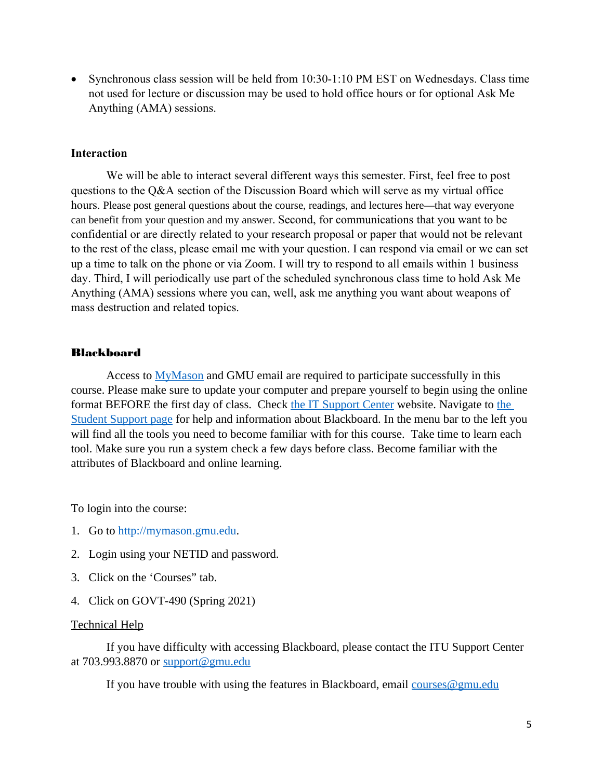Synchronous class session will be held from 10:30-1:10 PM EST on Wednesdays. Class time not used for lecture or discussion may be used to hold office hours or for optional Ask Me Anything (AMA) sessions.

### **Interaction**

We will be able to interact several different ways this semester. First, feel free to post questions to the Q&A section of the Discussion Board which will serve as my virtual office hours. Please post general questions about the course, readings, and lectures here—that way everyone can benefit from your question and my answer. Second, for communications that you want to be confidential or are directly related to your research proposal or paper that would not be relevant to the rest of the class, please email me with your question. I can respond via email or we can set up a time to talk on the phone or via Zoom. I will try to respond to all emails within 1 business day. Third, I will periodically use part of the scheduled synchronous class time to hold Ask Me Anything (AMA) sessions where you can, well, ask me anything you want about weapons of mass destruction and related topics.

### Blackboard

Access to **MyMason** and GMU email are required to participate successfully in this course. Please make sure to update your computer and prepare yourself to begin using the online format BEFORE the first day of class. Check [the IT Support Center](http://itservices.gmu.edu/) website. Navigate to the [Student Support page](https://coursessupport.gmu.edu/Students/) for help and information about Blackboard. In the menu bar to the left you will find all the tools you need to become familiar with for this course. Take time to learn each tool. Make sure you run a system check a few days before class. Become familiar with the attributes of Blackboard and online learning.

To login into the course:

- 1. Go to [http://mymason.gmu.edu](http://mymason.gmu.edu/).
- 2. Login using your NETID and password.
- 3. Click on the 'Courses" tab.
- 4. Click on GOVT-490 (Spring 2021)

## Technical Help

If you have difficulty with accessing Blackboard, please contact the ITU Support Center at 703.993.8870 or  $\frac{\text{support}(\text{d}^2)}{\text{input}}$ 

If you have trouble with using the features in Blackboard, email  $\frac{course(logmu.edu)}{$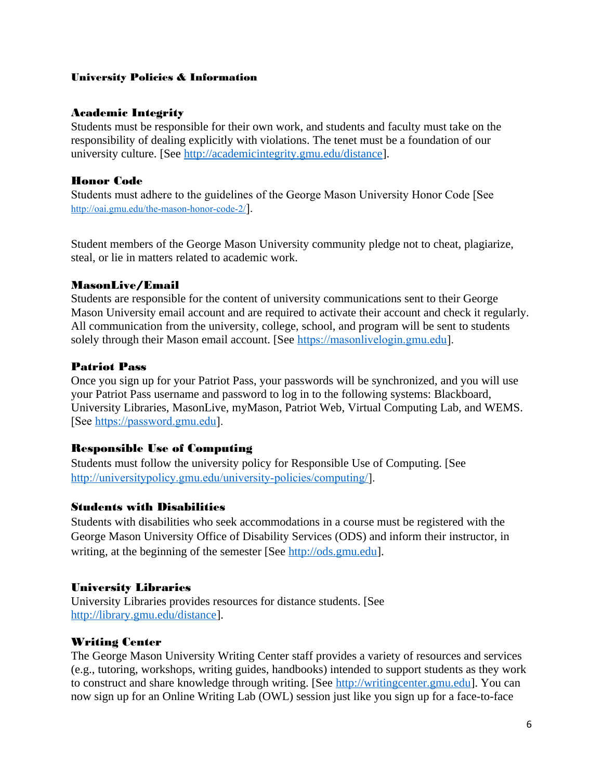## University Policies & Information

# Academic Integrity

Students must be responsible for their own work, and students and faculty must take on the responsibility of dealing explicitly with violations. The tenet must be a foundation of our university culture. [See [http://academicintegrity.gmu.edu/distance\]](http://academicintegrity.gmu.edu/distance).

# Honor Code

Students must adhere to the guidelines of the George Mason University Honor Code [See <http://oai.gmu.edu/the-mason-honor-code-2/>].

Student members of the George Mason University community pledge not to cheat, plagiarize, steal, or lie in matters related to academic work.

# MasonLive/Email

Students are responsible for the content of university communications sent to their George Mason University email account and are required to activate their account and check it regularly. All communication from the university, college, school, and program will be sent to students solely through their Mason email account. [See [https://masonlivelogin.gmu.edu](https://masonlivelogin.gmu.edu/)].

# Patriot Pass

Once you sign up for your Patriot Pass, your passwords will be synchronized, and you will use your Patriot Pass username and password to log in to the following systems: Blackboard, University Libraries, MasonLive, myMason, Patriot Web, Virtual Computing Lab, and WEMS. [See [https://password.gmu.edu\]](https://password.gmu.edu/).

## Responsible Use of Computing

Students must follow the university policy for Responsible Use of Computing. [See <http://universitypolicy.gmu.edu/university-policies/computing/>].

## Students with Disabilities

Students with disabilities who seek accommodations in a course must be registered with the George Mason University Office of Disability Services (ODS) and inform their instructor, in writing, at the beginning of the semester [See [http://ods.gmu.edu](http://ods.gmu.edu/)].

## University Libraries

University Libraries provides resources for distance students. [See <http://library.gmu.edu/distance>].

# Writing Center

The George Mason University Writing Center staff provides a variety of resources and services (e.g., tutoring, workshops, writing guides, handbooks) intended to support students as they work to construct and share knowledge through writing. [See [http://writingcenter.gmu.edu](http://writingcenter.gmu.edu/)]. You can now sign up for an Online Writing Lab (OWL) session just like you sign up for a face-to-face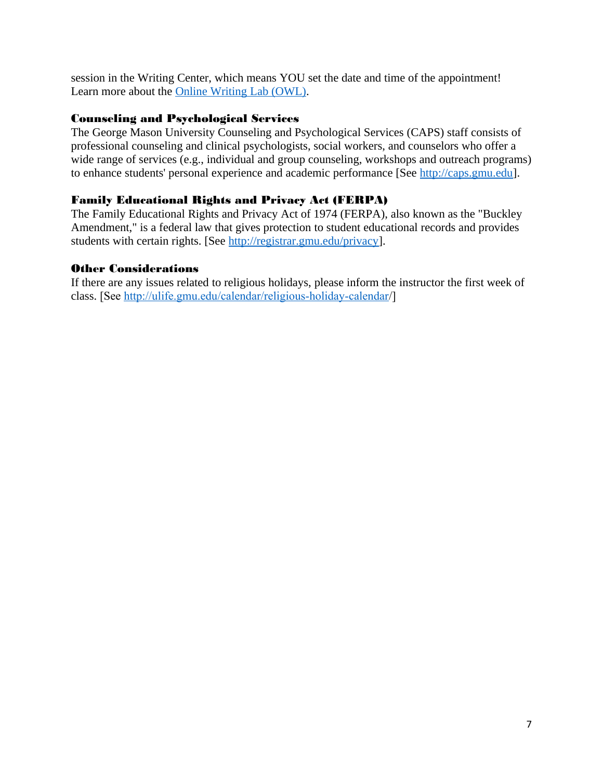session in the Writing Center, which means YOU set the date and time of the appointment! Learn more about the [Online Writing Lab \(OWL\)](http://writingcenter.gmu.edu/?page_id=177#more-177).

# Counseling and Psychological Services

The George Mason University Counseling and Psychological Services (CAPS) staff consists of professional counseling and clinical psychologists, social workers, and counselors who offer a wide range of services (e.g., individual and group counseling, workshops and outreach programs) to enhance students' personal experience and academic performance [See [http://caps.gmu.edu](http://caps.gmu.edu/)].

# Family Educational Rights and Privacy Act (FERPA)

The Family Educational Rights and Privacy Act of 1974 (FERPA), also known as the "Buckley Amendment," is a federal law that gives protection to student educational records and provides students with certain rights. [See [http://registrar.gmu.edu/privacy\]](http://registrar.gmu.edu/privacy).

# Other Considerations

If there are any issues related to religious holidays, please inform the instructor the first week of class. [See <http://ulife.gmu.edu/calendar/religious-holiday-calendar>/]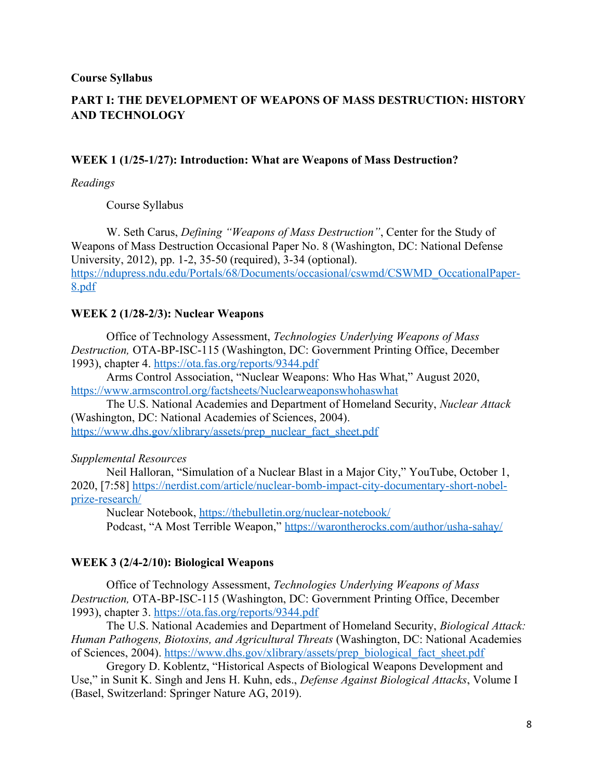**Course Syllabus**

# **PART I: THE DEVELOPMENT OF WEAPONS OF MASS DESTRUCTION: HISTORY AND TECHNOLOGY**

## **WEEK 1 (1/25-1/27): Introduction: What are Weapons of Mass Destruction?**

*Readings*

Course Syllabus

W. Seth Carus, *Defining "Weapons of Mass Destruction"*, Center for the Study of Weapons of Mass Destruction Occasional Paper No. 8 (Washington, DC: National Defense University, 2012), pp. 1-2, 35-50 (required), 3-34 (optional). [https://ndupress.ndu.edu/Portals/68/Documents/occasional/cswmd/CSWMD\\_OccationalPaper-](https://ndupress.ndu.edu/Portals/68/Documents/occasional/cswmd/CSWMD_OccationalPaper-8.pdf)[8.pdf](https://ndupress.ndu.edu/Portals/68/Documents/occasional/cswmd/CSWMD_OccationalPaper-8.pdf)

## **WEEK 2 (1/28-2/3): Nuclear Weapons**

Office of Technology Assessment, *Technologies Underlying Weapons of Mass Destruction,* OTA-BP-ISC-115 (Washington, DC: Government Printing Office, December 1993), chapter 4.<https://ota.fas.org/reports/9344.pdf>

Arms Control Association, "Nuclear Weapons: Who Has What," August 2020, <https://www.armscontrol.org/factsheets/Nuclearweaponswhohaswhat>

The U.S. National Academies and Department of Homeland Security, *Nuclear Attack*  (Washington, DC: National Academies of Sciences, 2004).

[https://www.dhs.gov/xlibrary/assets/prep\\_nuclear\\_fact\\_sheet.pdf](https://www.dhs.gov/xlibrary/assets/prep_nuclear_fact_sheet.pdf)

#### *Supplemental Resources*

Neil Halloran, "Simulation of a Nuclear Blast in a Major City," YouTube, October 1, 2020, [7:58] [https://nerdist.com/article/nuclear-bomb-impact-city-documentary-short-nobel](https://nerdist.com/article/nuclear-bomb-impact-city-documentary-short-nobel-prize-research/)[prize-research/](https://nerdist.com/article/nuclear-bomb-impact-city-documentary-short-nobel-prize-research/)

Nuclear Notebook,<https://thebulletin.org/nuclear-notebook/>

Podcast, "A Most Terrible Weapon,"<https://warontherocks.com/author/usha-sahay/>

#### **WEEK 3 (2/4-2/10): Biological Weapons**

Office of Technology Assessment, *Technologies Underlying Weapons of Mass Destruction,* OTA-BP-ISC-115 (Washington, DC: Government Printing Office, December 1993), chapter 3.<https://ota.fas.org/reports/9344.pdf>

The U.S. National Academies and Department of Homeland Security, *Biological Attack: Human Pathogens, Biotoxins, and Agricultural Threats* (Washington, DC: National Academies of Sciences, 2004). [https://www.dhs.gov/xlibrary/assets/prep\\_biological\\_fact\\_sheet.pdf](https://www.dhs.gov/xlibrary/assets/prep_biological_fact_sheet.pdf)

Gregory D. Koblentz, "Historical Aspects of Biological Weapons Development and Use," in Sunit K. Singh and Jens H. Kuhn, eds., *Defense Against Biological Attacks*, Volume I (Basel, Switzerland: Springer Nature AG, 2019).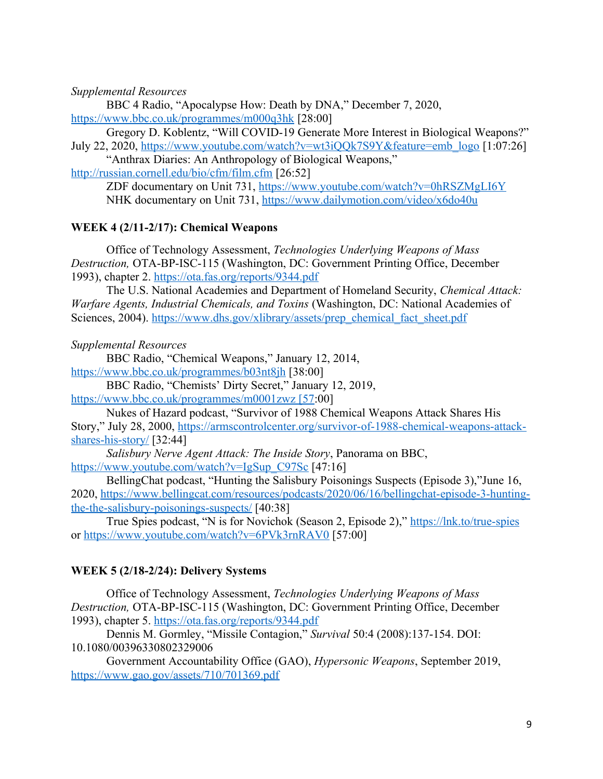*Supplemental Resources*

BBC 4 Radio, "Apocalypse How: Death by DNA," December 7, 2020, <https://www.bbc.co.uk/programmes/m000q3hk> [28:00]

Gregory D. Koblentz, "Will COVID-19 Generate More Interest in Biological Weapons?" July 22, 2020, [https://www.youtube.com/watch?v=wt3iQQk7S9Y&feature=emb\\_logo](https://www.youtube.com/watch?v=wt3iQQk7S9Y&feature=emb_logo) [1:07:26]

"Anthrax Diaries: An Anthropology of Biological Weapons," <http://russian.cornell.edu/bio/cfm/film.cfm> [26:52]

> ZDF documentary on Unit 731, <https://www.youtube.com/watch?v=0hRSZMgLI6Y> NHK documentary on Unit 731,<https://www.dailymotion.com/video/x6do40u>

# **WEEK 4 (2/11-2/17): Chemical Weapons**

Office of Technology Assessment, *Technologies Underlying Weapons of Mass Destruction,* OTA-BP-ISC-115 (Washington, DC: Government Printing Office, December 1993), chapter 2.<https://ota.fas.org/reports/9344.pdf>

The U.S. National Academies and Department of Homeland Security, *Chemical Attack: Warfare Agents, Industrial Chemicals, and Toxins* (Washington, DC: National Academies of Sciences, 2004). [https://www.dhs.gov/xlibrary/assets/prep\\_chemical\\_fact\\_sheet.pdf](https://www.dhs.gov/xlibrary/assets/prep_chemical_fact_sheet.pdf)

*Supplemental Resources*

BBC Radio, "Chemical Weapons," January 12, 2014, <https://www.bbc.co.uk/programmes/b03nt8jh> [38:00]

BBC Radio, "Chemists' Dirty Secret," January 12, 2019,

[https://www.bbc.co.uk/programmes/m0001zwz \[57](https://www.bbc.co.uk/programmes/m0001zwz%20%5B57):00]

Nukes of Hazard podcast, "Survivor of 1988 Chemical Weapons Attack Shares His Story," July 28, 2000, [https://armscontrolcenter.org/survivor-of-1988-chemical-weapons-attack](https://armscontrolcenter.org/survivor-of-1988-chemical-weapons-attack-shares-his-story/)[shares-his-story/](https://armscontrolcenter.org/survivor-of-1988-chemical-weapons-attack-shares-his-story/) [32:44]

*Salisbury Nerve Agent Attack: The Inside Story*, Panorama on BBC,

[https://www.youtube.com/watch?v=IgSup\\_C97Sc](https://www.youtube.com/watch?v=IgSup_C97Sc) [47:16]

BellingChat podcast, "Hunting the Salisbury Poisonings Suspects (Episode 3),"June 16, 2020, [https://www.bellingcat.com/resources/podcasts/2020/06/16/bellingchat-episode-3-hunting](https://www.bellingcat.com/resources/podcasts/2020/06/16/bellingchat-episode-3-hunting-the-the-salisbury-poisonings-suspects/)[the-the-salisbury-poisonings-suspects/](https://www.bellingcat.com/resources/podcasts/2020/06/16/bellingchat-episode-3-hunting-the-the-salisbury-poisonings-suspects/) [40:38]

True Spies podcast, "N is for Novichok (Season 2, Episode 2)," <https://lnk.to/true-spies> or<https://www.youtube.com/watch?v=6PVk3rnRAV0> [57:00]

## **WEEK 5 (2/18-2/24): Delivery Systems**

Office of Technology Assessment, *Technologies Underlying Weapons of Mass Destruction,* OTA-BP-ISC-115 (Washington, DC: Government Printing Office, December 1993), chapter 5.<https://ota.fas.org/reports/9344.pdf>

Dennis M. Gormley, "Missile Contagion," *Survival* 50:4 (2008):137-154. DOI: 10.1080/00396330802329006

Government Accountability Office (GAO), *Hypersonic Weapons*, September 2019, <https://www.gao.gov/assets/710/701369.pdf>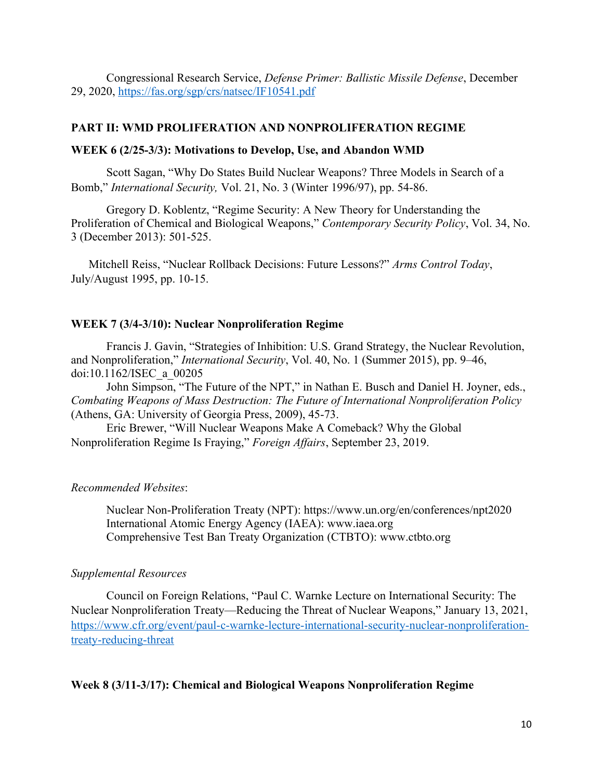Congressional Research Service, *Defense Primer: Ballistic Missile Defense*, December 29, 2020,<https://fas.org/sgp/crs/natsec/IF10541.pdf>

## **PART II: WMD PROLIFERATION AND NONPROLIFERATION REGIME**

### **WEEK 6 (2/25-3/3): Motivations to Develop, Use, and Abandon WMD**

Scott Sagan, "Why Do States Build Nuclear Weapons? Three Models in Search of a Bomb," *International Security,* Vol. 21, No. 3 (Winter 1996/97), pp. 54-86.

Gregory D. Koblentz, "Regime Security: A New Theory for Understanding the Proliferation of Chemical and Biological Weapons," *Contemporary Security Policy*, Vol. 34, No. 3 (December 2013): 501-525.

Mitchell Reiss, "Nuclear Rollback Decisions: Future Lessons?" *Arms Control Today*, July/August 1995, pp. 10-15.

## **WEEK 7 (3/4-3/10): Nuclear Nonproliferation Regime**

Francis J. Gavin, "Strategies of Inhibition: U.S. Grand Strategy, the Nuclear Revolution, and Nonproliferation," *International Security*, Vol. 40, No. 1 (Summer 2015), pp. 9–46, doi:10.1162/ISEC\_a\_00205

John Simpson, "The Future of the NPT," in Nathan E. Busch and Daniel H. Joyner, eds., *Combating Weapons of Mass Destruction: The Future of International Nonproliferation Policy* (Athens, GA: University of Georgia Press, 2009), 45-73.

Eric Brewer, "Will Nuclear Weapons Make A Comeback? Why the Global Nonproliferation Regime Is Fraying," *Foreign Affairs*, September 23, 2019.

#### *Recommended Websites*:

Nuclear Non-Proliferation Treaty (NPT): https://www.un.org/en/conferences/npt2020 International Atomic Energy Agency (IAEA): www.iaea.org Comprehensive Test Ban Treaty Organization (CTBTO): www.ctbto.org

### *Supplemental Resources*

Council on Foreign Relations, "Paul C. Warnke Lecture on International Security: The Nuclear Nonproliferation Treaty—Reducing the Threat of Nuclear Weapons," January 13, 2021, [https://www.cfr.org/event/paul-c-warnke-lecture-international-security-nuclear-nonproliferation](https://www.cfr.org/event/paul-c-warnke-lecture-international-security-nuclear-nonproliferation-treaty-reducing-threat)[treaty-reducing-threat](https://www.cfr.org/event/paul-c-warnke-lecture-international-security-nuclear-nonproliferation-treaty-reducing-threat)

## **Week 8 (3/11-3/17): Chemical and Biological Weapons Nonproliferation Regime**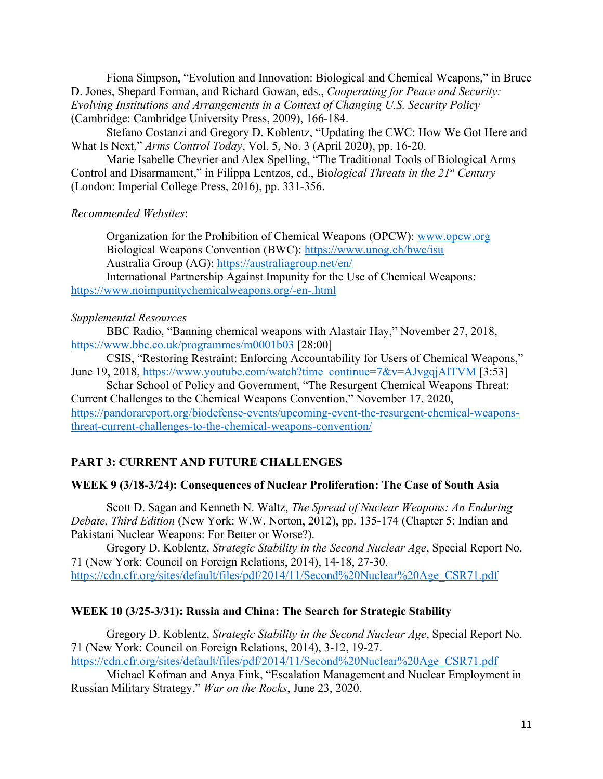Fiona Simpson, "Evolution and Innovation: Biological and Chemical Weapons," in Bruce D. Jones, Shepard Forman, and Richard Gowan, eds., *Cooperating for Peace and Security: Evolving Institutions and Arrangements in a Context of Changing U.S. Security Policy* (Cambridge: Cambridge University Press, 2009), 166-184.

Stefano Costanzi and Gregory D. Koblentz, "Updating the CWC: How We Got Here and What Is Next," *Arms Control Today*, Vol. 5, No. 3 (April 2020), pp. 16-20.

Marie Isabelle Chevrier and Alex Spelling, "The Traditional Tools of Biological Arms Control and Disarmament," in Filippa Lentzos, ed., Bio*logical Threats in the 21st Century* (London: Imperial College Press, 2016), pp. 331-356.

### *Recommended Websites*:

Organization for the Prohibition of Chemical Weapons (OPCW): [www.opcw.org](http://www.opcw.org/) Biological Weapons Convention (BWC):<https://www.unog.ch/bwc/isu> Australia Group (AG):<https://australiagroup.net/en/>

International Partnership Against Impunity for the Use of Chemical Weapons: <https://www.noimpunitychemicalweapons.org/-en-.html>

#### *Supplemental Resources*

BBC Radio, "Banning chemical weapons with Alastair Hay," November 27, 2018, <https://www.bbc.co.uk/programmes/m0001b03> [28:00]

CSIS, "Restoring Restraint: Enforcing Accountability for Users of Chemical Weapons," June 19, 2018, [https://www.youtube.com/watch?time\\_continue=7&v=AJvgqjAlTVM](https://www.youtube.com/watch?time_continue=7&v=AJvgqjAlTVM) [3:53]

Schar School of Policy and Government, "The Resurgent Chemical Weapons Threat: Current Challenges to the Chemical Weapons Convention," November 17, 2020, [https://pandorareport.org/biodefense-events/upcoming-event-the-resurgent-chemical-weapons](https://pandorareport.org/biodefense-events/upcoming-event-the-resurgent-chemical-weapons-threat-current-challenges-to-the-chemical-weapons-convention/)[threat-current-challenges-to-the-chemical-weapons-convention/](https://pandorareport.org/biodefense-events/upcoming-event-the-resurgent-chemical-weapons-threat-current-challenges-to-the-chemical-weapons-convention/)

### **PART 3: CURRENT AND FUTURE CHALLENGES**

#### **WEEK 9 (3/18-3/24): Consequences of Nuclear Proliferation: The Case of South Asia**

Scott D. Sagan and Kenneth N. Waltz, *The Spread of Nuclear Weapons: An Enduring Debate, Third Edition* (New York: W.W. Norton, 2012), pp. 135-174 (Chapter 5: Indian and Pakistani Nuclear Weapons: For Better or Worse?).

Gregory D. Koblentz, *Strategic Stability in the Second Nuclear Age*, Special Report No. 71 (New York: Council on Foreign Relations, 2014), 14-18, 27-30. [https://cdn.cfr.org/sites/default/files/pdf/2014/11/Second%20Nuclear%20Age\\_CSR71.pdf](https://cdn.cfr.org/sites/default/files/pdf/2014/11/Second%20Nuclear%20Age_CSR71.pdf)

## **WEEK 10 (3/25-3/31): Russia and China: The Search for Strategic Stability**

Gregory D. Koblentz, *Strategic Stability in the Second Nuclear Age*, Special Report No. 71 (New York: Council on Foreign Relations, 2014), 3-12, 19-27. [https://cdn.cfr.org/sites/default/files/pdf/2014/11/Second%20Nuclear%20Age\\_CSR71.pdf](https://cdn.cfr.org/sites/default/files/pdf/2014/11/Second%20Nuclear%20Age_CSR71.pdf)

Michael Kofman and Anya Fink, "Escalation Management and Nuclear Employment in Russian Military Strategy," *War on the Rocks*, June 23, 2020,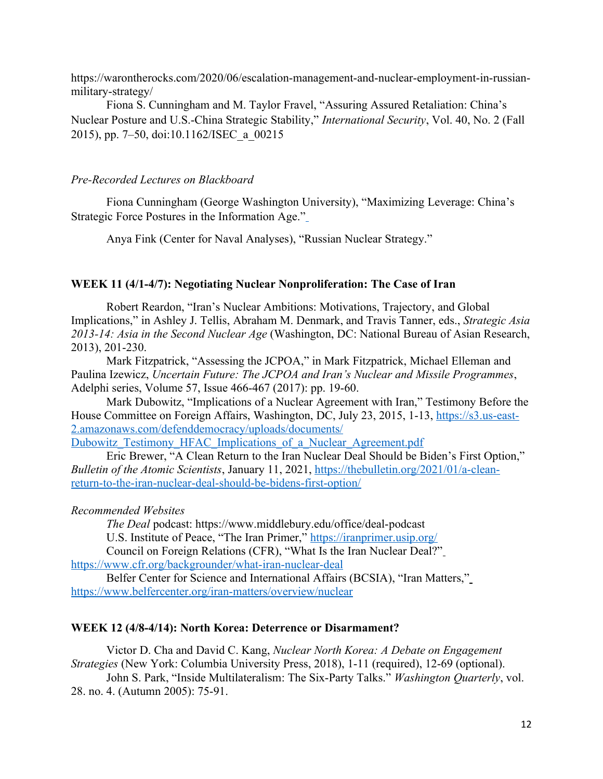https://warontherocks.com/2020/06/escalation-management-and-nuclear-employment-in-russianmilitary-strategy/

Fiona S. Cunningham and M. Taylor Fravel, "Assuring Assured Retaliation: China's Nuclear Posture and U.S.-China Strategic Stability," *International Security*, Vol. 40, No. 2 (Fall 2015), pp. 7–50, doi:10.1162/ISEC\_a\_00215

## *Pre-Recorded Lectures on Blackboard*

Fiona Cunningham (George Washington University), "Maximizing Leverage: China's Strategic Force Postures in the Information Age."

Anya Fink (Center for Naval Analyses), "Russian Nuclear Strategy."

### **WEEK 11 (4/1-4/7): Negotiating Nuclear Nonproliferation: The Case of Iran**

Robert Reardon, "Iran's Nuclear Ambitions: Motivations, Trajectory, and Global Implications," in Ashley J. Tellis, Abraham M. Denmark, and Travis Tanner, eds., *Strategic Asia 2013-14: Asia in the Second Nuclear Age* (Washington, DC: National Bureau of Asian Research, 2013), 201-230.

Mark Fitzpatrick, "Assessing the JCPOA," in Mark Fitzpatrick, Michael Elleman and Paulina Izewicz, *Uncertain Future: The JCPOA and Iran's Nuclear and Missile Programmes*, Adelphi series, Volume 57, Issue 466-467 (2017): pp. 19-60.

Mark Dubowitz, "Implications of a Nuclear Agreement with Iran," Testimony Before the House Committee on Foreign Affairs, Washington, DC, July 23, 2015, 1-13, [https://s3.us-east-](https://s3.us-east-2.amazonaws.com/defenddemocracy/uploads/documents/Dubowitz_Testimony_HFAC_Implications_of_a_Nuclear_Agreement.pdf)[2.amazonaws.com/defenddemocracy/uploads/documents/](https://s3.us-east-2.amazonaws.com/defenddemocracy/uploads/documents/Dubowitz_Testimony_HFAC_Implications_of_a_Nuclear_Agreement.pdf)

Dubowitz Testimony HFAC Implications of a Nuclear Agreement.pdf

Eric Brewer, "A Clean Return to the Iran Nuclear Deal Should be Biden's First Option," *Bulletin of the Atomic Scientists*, January 11, 2021, [https://thebulletin.org/2021/01/a-clean](https://thebulletin.org/2021/01/a-clean-return-to-the-iran-nuclear-deal-should-be-bidens-first-option/)[return-to-the-iran-nuclear-deal-should-be-bidens-first-option/](https://thebulletin.org/2021/01/a-clean-return-to-the-iran-nuclear-deal-should-be-bidens-first-option/)

### *Recommended Websites*

*The Deal* podcast: https://www.middlebury.edu/office/deal-podcast

U.S. Institute of Peace, "The Iran Primer," <https://iranprimer.usip.org/>

Council on Foreign Relations (CFR), "What Is the Iran Nuclear Deal?"

<https://www.cfr.org/backgrounder/what-iran-nuclear-deal>

Belfer Center for Science and International Affairs (BCSIA), "Iran Matters," https://www.belfercenter.org/iran-matters/overview/nuclear

## **WEEK 12 (4/8-4/14): North Korea: Deterrence or Disarmament?**

Victor D. Cha and David C. Kang, *Nuclear North Korea: A Debate on Engagement Strategies* (New York: Columbia University Press, 2018), 1-11 (required), 12-69 (optional). John S. Park, "Inside Multilateralism: The Six-Party Talks." *Washington Quarterly*, vol.

28. no. 4. (Autumn 2005): 75-91.